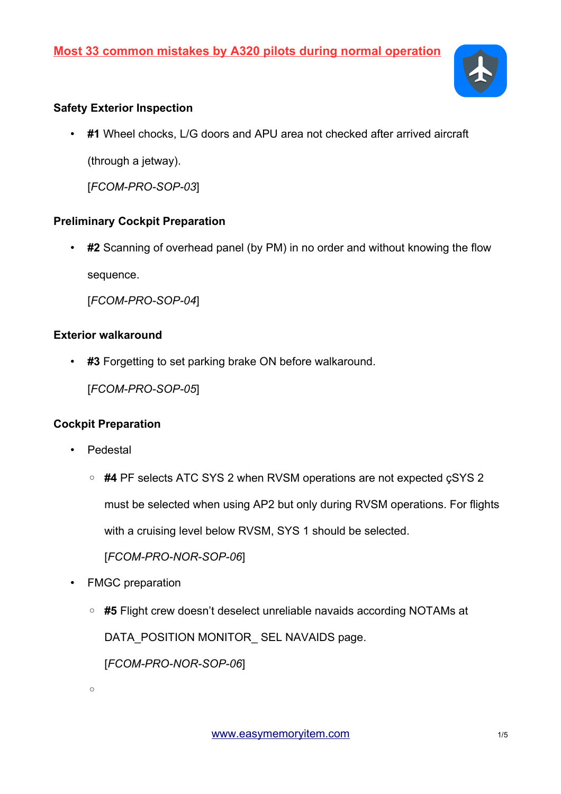

## **Safety Exterior Inspection**

• **#1** Wheel chocks, L/G doors and APU area not checked after arrived aircraft (through a jetway).

[*FCOM-PRO-SOP-03*]

## **Preliminary Cockpit Preparation**

• **#2** Scanning of overhead panel (by PM) in no order and without knowing the flow sequence.

[*FCOM-PRO-SOP-04*]

#### **Exterior walkaround**

• **#3** Forgetting to set parking brake ON before walkaround.

[*FCOM-PRO-SOP-05*]

## **Cockpit Preparation**

- Pedestal
	- **#4** PF selects ATC SYS 2 when RVSM operations are not expected çSYS 2 must be selected when using AP2 but only during RVSM operations. For flights with a cruising level below RVSM, SYS 1 should be selected.

[*FCOM-PRO-NOR-SOP-06*]

- FMGC preparation
	- **#5** Flight crew doesn't deselect unreliable navaids according NOTAMs at DATA\_POSITION MONITOR\_SEL NAVAIDS page. [*FCOM-PRO-NOR-SOP-06*]

 $\circ$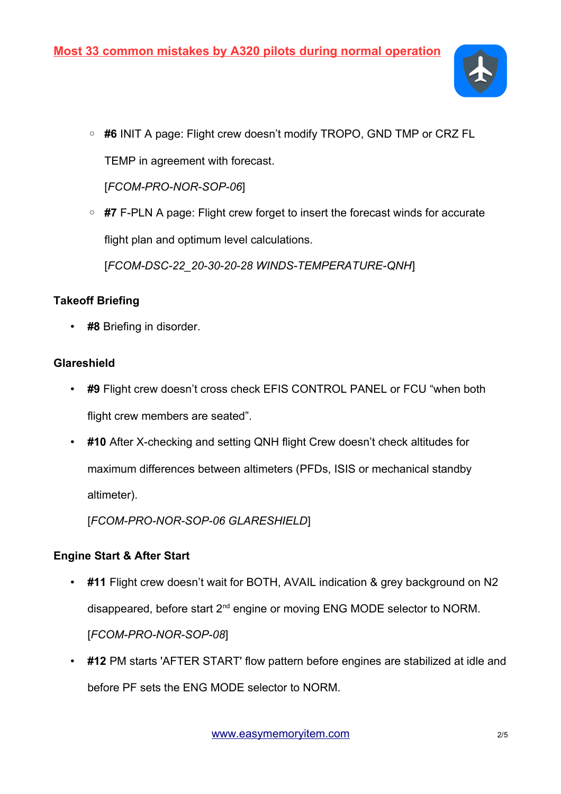

◦ **#6** INIT A page: Flight crew doesn't modify TROPO, GND TMP or CRZ FL TEMP in agreement with forecast.

[*FCOM-PRO-NOR-SOP-06*]

◦ **#7** F-PLN A page: Flight crew forget to insert the forecast winds for accurate flight plan and optimum level calculations.

[*FCOM-DSC-22\_20-30-20-28 WINDS-TEMPERATURE-QNH*]

## **Takeoff Briefing**

• **#8** Briefing in disorder.

## **Glareshield**

- **#9** Flight crew doesn't cross check EFIS CONTROL PANEL or FCU "when both flight crew members are seated".
- **#10** After X-checking and setting QNH flight Crew doesn't check altitudes for maximum differences between altimeters (PFDs, ISIS or mechanical standby altimeter).

[*FCOM-PRO-NOR-SOP-06 GLARESHIELD*]

# **Engine Start & After Start**

- **#11** Flight crew doesn't wait for BOTH, AVAIL indication & grey background on N2 disappeared, before start 2<sup>nd</sup> engine or moving ENG MODE selector to NORM. [*FCOM-PRO-NOR-SOP-08*]
- **#12** PM starts 'AFTER START' flow pattern before engines are stabilized at idle and before PF sets the ENG MODE selector to NORM.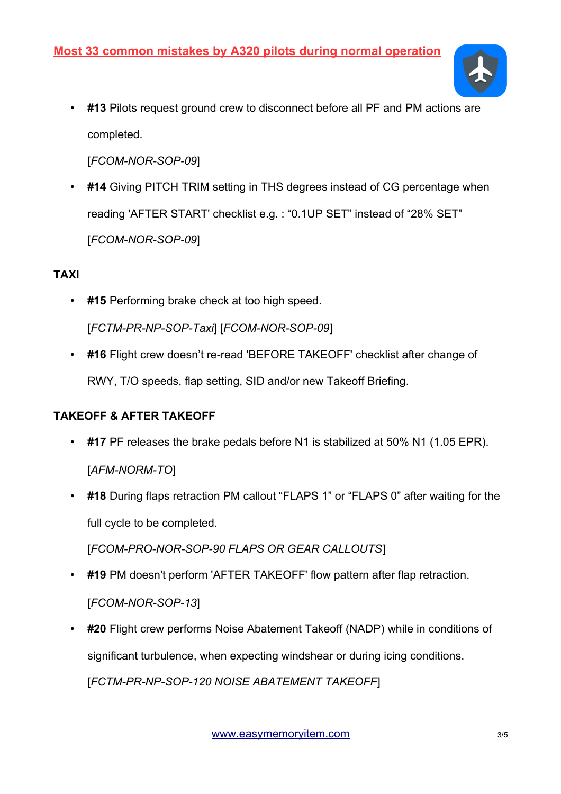

• **#13** Pilots request ground crew to disconnect before all PF and PM actions are completed.

[*FCOM-NOR-SOP-09*]

• **#14** Giving PITCH TRIM setting in THS degrees instead of CG percentage when reading 'AFTER START' checklist e.g. : "0.1UP SET" instead of "28% SET" [*FCOM-NOR-SOP-09*]

## **TAXI**

- **#15** Performing brake check at too high speed. [*FCTM-PR-NP-SOP-Taxi*] [*FCOM-NOR-SOP-09*]
- **#16** Flight crew doesn't re-read 'BEFORE TAKEOFF' checklist after change of RWY, T/O speeds, flap setting, SID and/or new Takeoff Briefing.

# **TAKEOFF & AFTER TAKEOFF**

- **#17** PF releases the brake pedals before N1 is stabilized at 50% N1 (1.05 EPR). [*AFM-NORM-TO*]
- **#18** During flaps retraction PM callout "FLAPS 1" or "FLAPS 0" after waiting for the full cycle to be completed.

[*FCOM-PRO-NOR-SOP-90 FLAPS OR GEAR CALLOUTS*]

- **#19** PM doesn't perform 'AFTER TAKEOFF' flow pattern after flap retraction. [*FCOM-NOR-SOP-13*]
- **#20** Flight crew performs Noise Abatement Takeoff (NADP) while in conditions of significant turbulence, when expecting windshear or during icing conditions. [*FCTM-PR-NP-SOP-120 NOISE ABATEMENT TAKEOFF*]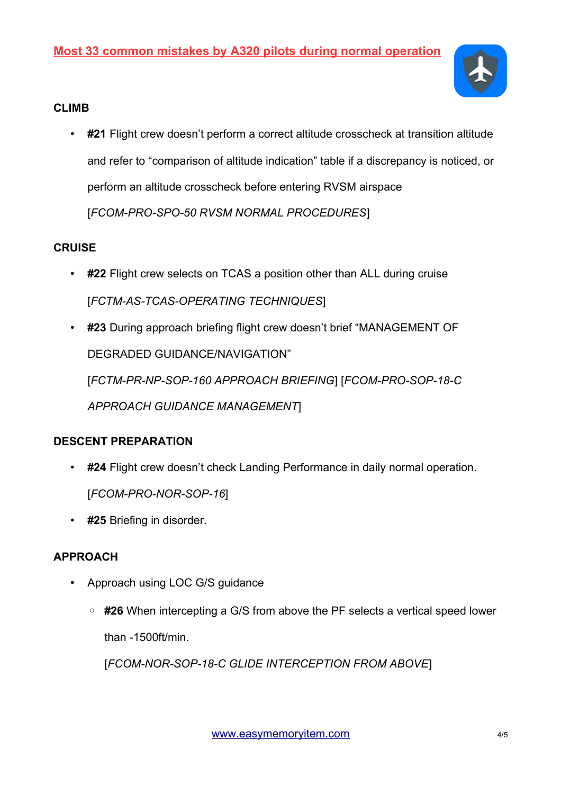

#### **CLIMB**

• **#21** Flight crew doesn't perform a correct altitude crosscheck at transition altitude and refer to "comparison of altitude indication" table if a discrepancy is noticed, or perform an altitude crosscheck before entering RVSM airspace [*FCOM-PRO-SPO-50 RVSM NORMAL PROCEDURES*]

## **CRUISE**

- **#22** Flight crew selects on TCAS a position other than ALL during cruise [*FCTM-AS-TCAS-OPERATING TECHNIQUES*]
- **#23** During approach briefing flight crew doesn't brief "MANAGEMENT OF DEGRADED GUIDANCE/NAVIGATION" [*FCTM-PR-NP-SOP-160 APPROACH BRIEFING*] [*FCOM-PRO-SOP-18-C APPROACH GUIDANCE MANAGEMENT*]

## **DESCENT PREPARATION**

- **#24** Flight crew doesn't check Landing Performance in daily normal operation. [*FCOM-PRO-NOR-SOP-16*]
- **#25** Briefing in disorder.

# **APPROACH**

- Approach using LOC G/S guidance
	- **#26** When intercepting a G/S from above the PF selects a vertical speed lower than -1500ft/min.

[*FCOM-NOR-SOP-18-C GLIDE INTERCEPTION FROM ABOVE*]